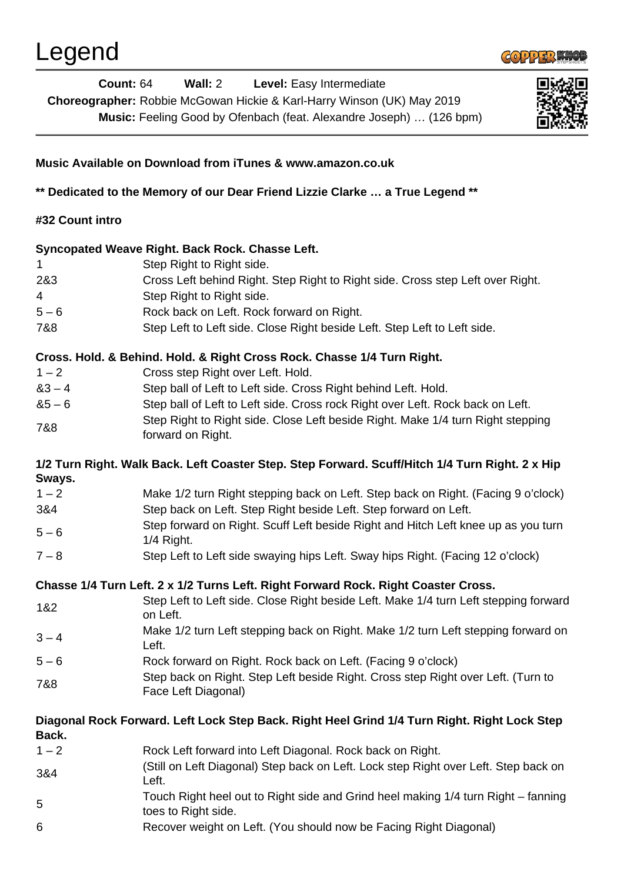

| <b>Count: 64</b> | Wall: 2<br>Level: Easy Intermediate<br>Choreographer: Robbie McGowan Hickie & Karl-Harry Winson (UK) May 2019<br>Music: Feeling Good by Ofenbach (feat. Alexandre Joseph)  (126 bpm) |  |  |
|------------------|--------------------------------------------------------------------------------------------------------------------------------------------------------------------------------------|--|--|
|                  | Music Available on Download from iTunes & www.amazon.co.uk                                                                                                                           |  |  |
|                  | ** Dedicated to the Memory of our Dear Friend Lizzie Clarke  a True Legend **                                                                                                        |  |  |
| #32 Count intro  |                                                                                                                                                                                      |  |  |
|                  | Syncopated Weave Right. Back Rock. Chasse Left.                                                                                                                                      |  |  |
|                  | Step Right to Right side.                                                                                                                                                            |  |  |
| 2&3              | Cross Left behind Right. Step Right to Right side. Cross step Left over Right.                                                                                                       |  |  |
| 4                | Step Right to Right side.                                                                                                                                                            |  |  |
| $5 - 6$          | Rock back on Left. Rock forward on Right.                                                                                                                                            |  |  |
| 7&8              | Step Left to Left side. Close Right beside Left. Step Left to Left side.                                                                                                             |  |  |
|                  | Cross. Hold. & Behind. Hold. & Right Cross Rock. Chasse 1/4 Turn Right.                                                                                                              |  |  |
| $1 - 2$          | Cross step Right over Left. Hold.                                                                                                                                                    |  |  |
| $83 - 4$         | Step ball of Left to Left side. Cross Right behind Left. Hold.                                                                                                                       |  |  |
| $85 - 6$         | Step ball of Left to Left side. Cross rock Right over Left. Rock back on Left.                                                                                                       |  |  |
| 7&8              | Step Right to Right side. Close Left beside Right. Make 1/4 turn Right stepping<br>forward on Right.                                                                                 |  |  |
| Sways.           | 1/2 Turn Right. Walk Back. Left Coaster Step. Step Forward. Scuff/Hitch 1/4 Turn Right. 2 x Hip                                                                                      |  |  |
| $1 - 2$          | Make 1/2 turn Right stepping back on Left. Step back on Right. (Facing 9 o'clock)                                                                                                    |  |  |
| 3&4              | Step back on Left. Step Right beside Left. Step forward on Left.                                                                                                                     |  |  |
| $5 - 6$          | Step forward on Right. Scuff Left beside Right and Hitch Left knee up as you turn<br>1/4 Right.                                                                                      |  |  |
| $7 - 8$          | Step Left to Left side swaying hips Left. Sway hips Right. (Facing 12 o'clock)                                                                                                       |  |  |
|                  | Chasse 1/4 Turn Left. 2 x 1/2 Turns Left. Right Forward Rock. Right Coaster Cross.                                                                                                   |  |  |
|                  | Step Left to Left side. Close Right beside Left. Make 1/4 turn Left stepping forward                                                                                                 |  |  |
| 1&2              | on Left.                                                                                                                                                                             |  |  |
| $3 - 4$          | Make 1/2 turn Left stepping back on Right. Make 1/2 turn Left stepping forward on<br>Left.                                                                                           |  |  |
| $5 - 6$          | Rock forward on Right. Rock back on Left. (Facing 9 o'clock)                                                                                                                         |  |  |
| 7&8              | Step back on Right. Step Left beside Right. Cross step Right over Left. (Turn to<br>Face Left Diagonal)                                                                              |  |  |
| Back.            | Diagonal Rock Forward. Left Lock Step Back. Right Heel Grind 1/4 Turn Right. Right Lock Step                                                                                         |  |  |
| $1 - 2$          | Rock Left forward into Left Diagonal. Rock back on Right.                                                                                                                            |  |  |
| 3&4              | (Still on Left Diagonal) Step back on Left. Lock step Right over Left. Step back on<br>Left.                                                                                         |  |  |
| 5                | Touch Right heel out to Right side and Grind heel making 1/4 turn Right – fanning<br>toes to Right side.                                                                             |  |  |
| 6                | Recover weight on Left. (You should now be Facing Right Diagonal)                                                                                                                    |  |  |